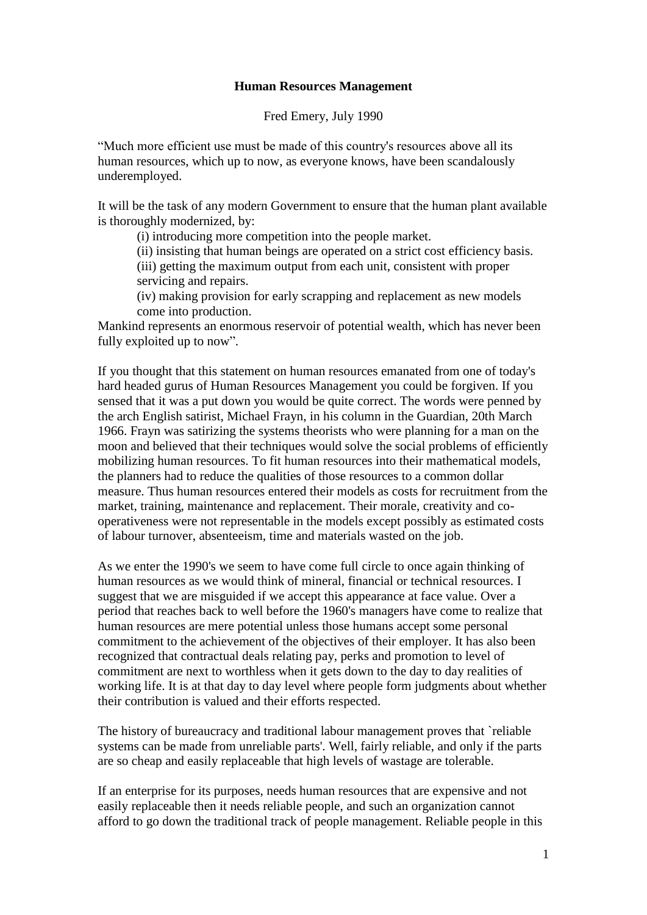## **Human Resources Management**

Fred Emery, July 1990

"Much more efficient use must be made of this country's resources above all its human resources, which up to now, as everyone knows, have been scandalously underemployed.

It will be the task of any modern Government to ensure that the human plant available is thoroughly modernized, by:

(i) introducing more competition into the people market.

(ii) insisting that human beings are operated on a strict cost efficiency basis.

(iii) getting the maximum output from each unit, consistent with proper servicing and repairs.

(iv) making provision for early scrapping and replacement as new models come into production.

Mankind represents an enormous reservoir of potential wealth, which has never been fully exploited up to now".

If you thought that this statement on human resources emanated from one of today's hard headed gurus of Human Resources Management you could be forgiven. If you sensed that it was a put down you would be quite correct. The words were penned by the arch English satirist, Michael Frayn, in his column in the Guardian, 20th March 1966. Frayn was satirizing the systems theorists who were planning for a man on the moon and believed that their techniques would solve the social problems of efficiently mobilizing human resources. To fit human resources into their mathematical models, the planners had to reduce the qualities of those resources to a common dollar measure. Thus human resources entered their models as costs for recruitment from the market, training, maintenance and replacement. Their morale, creativity and cooperativeness were not representable in the models except possibly as estimated costs of labour turnover, absenteeism, time and materials wasted on the job.

As we enter the 1990's we seem to have come full circle to once again thinking of human resources as we would think of mineral, financial or technical resources. I suggest that we are misguided if we accept this appearance at face value. Over a period that reaches back to well before the 1960's managers have come to realize that human resources are mere potential unless those humans accept some personal commitment to the achievement of the objectives of their employer. It has also been recognized that contractual deals relating pay, perks and promotion to level of commitment are next to worthless when it gets down to the day to day realities of working life. It is at that day to day level where people form judgments about whether their contribution is valued and their efforts respected.

The history of bureaucracy and traditional labour management proves that `reliable systems can be made from unreliable parts'. Well, fairly reliable, and only if the parts are so cheap and easily replaceable that high levels of wastage are tolerable.

If an enterprise for its purposes, needs human resources that are expensive and not easily replaceable then it needs reliable people, and such an organization cannot afford to go down the traditional track of people management. Reliable people in this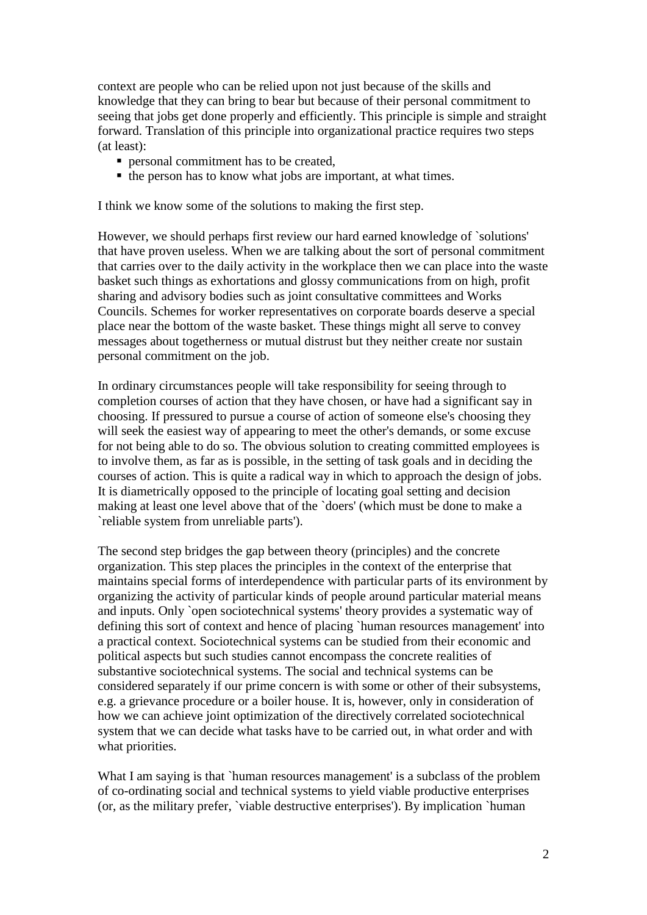context are people who can be relied upon not just because of the skills and knowledge that they can bring to bear but because of their personal commitment to seeing that jobs get done properly and efficiently. This principle is simple and straight forward. Translation of this principle into organizational practice requires two steps (at least):

- **•** personal commitment has to be created,
- the person has to know what jobs are important, at what times.

I think we know some of the solutions to making the first step.

However, we should perhaps first review our hard earned knowledge of `solutions' that have proven useless. When we are talking about the sort of personal commitment that carries over to the daily activity in the workplace then we can place into the waste basket such things as exhortations and glossy communications from on high, profit sharing and advisory bodies such as joint consultative committees and Works Councils. Schemes for worker representatives on corporate boards deserve a special place near the bottom of the waste basket. These things might all serve to convey messages about togetherness or mutual distrust but they neither create nor sustain personal commitment on the job.

In ordinary circumstances people will take responsibility for seeing through to completion courses of action that they have chosen, or have had a significant say in choosing. If pressured to pursue a course of action of someone else's choosing they will seek the easiest way of appearing to meet the other's demands, or some excuse for not being able to do so. The obvious solution to creating committed employees is to involve them, as far as is possible, in the setting of task goals and in deciding the courses of action. This is quite a radical way in which to approach the design of jobs. It is diametrically opposed to the principle of locating goal setting and decision making at least one level above that of the `doers' (which must be done to make a `reliable system from unreliable parts').

The second step bridges the gap between theory (principles) and the concrete organization. This step places the principles in the context of the enterprise that maintains special forms of interdependence with particular parts of its environment by organizing the activity of particular kinds of people around particular material means and inputs. Only `open sociotechnical systems' theory provides a systematic way of defining this sort of context and hence of placing `human resources management' into a practical context. Sociotechnical systems can be studied from their economic and political aspects but such studies cannot encompass the concrete realities of substantive sociotechnical systems. The social and technical systems can be considered separately if our prime concern is with some or other of their subsystems, e.g. a grievance procedure or a boiler house. It is, however, only in consideration of how we can achieve joint optimization of the directively correlated sociotechnical system that we can decide what tasks have to be carried out, in what order and with what priorities.

What I am saying is that `human resources management' is a subclass of the problem of co-ordinating social and technical systems to yield viable productive enterprises (or, as the military prefer, `viable destructive enterprises'). By implication `human